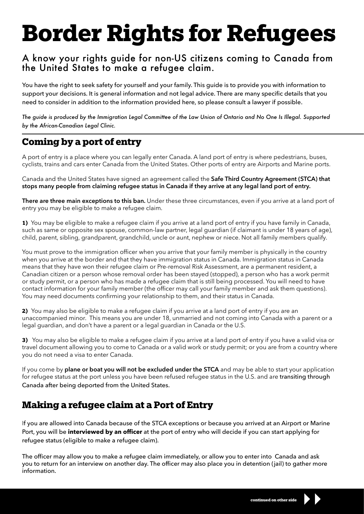# **Border Rights for Refugees**

### A know your rights guide for non-US citizens coming to Canada from the United States to make a refugee claim.

You have the right to seek safety for yourself and your family. This guide is to provide you with information to support your decisions. It is general information and not legal advice. There are many specific details that you need to consider in addition to the information provided here, so please consult a lawyer if possible.

*The guide is produced by the Immigration Legal Committee of the Law Union of Ontario and No One Is Illegal. Supported by the African-Canadian Legal Clinic.*

## **Coming by a port of entry**

A port of entry is a place where you can legally enter Canada. A land port of entry is where pedestrians, buses, cyclists, trains and cars enter Canada from the United States. Other ports of entry are Airports and Marine ports.

Canada and the United States have signed an agreement called the **Safe Third Country Agreement (STCA) that stops many people from claiming refugee status in Canada if they arrive at any legal land port of entry.** 

**There are three main exceptions to this ban.** Under these three circumstances, even if you arrive at a land port of entry you may be eligible to make a refugee claim.

**1)** You may be eligible to make a refugee claim if you arrive at a land port of entry if you have family in Canada, such as same or opposite sex spouse, common-law partner, legal guardian (if claimant is under 18 years of age), child, parent, sibling, grandparent, grandchild, uncle or aunt, nephew or niece. Not all family members qualify.

You must prove to the immigration officer when you arrive that your family member is physically in the country when you arrive at the border and that they have immigration status in Canada. Immigration status in Canada means that they have won their refugee claim or Pre-removal Risk Assessment, are a permanent resident, a Canadian citizen or a person whose removal order has been stayed (stopped), a person who has a work permit or study permit, or a person who has made a refugee claim that is still being processed. You will need to have contact information for your family member (the officer may call your family member and ask them questions). You may need documents confirming your relationship to them, and their status in Canada.

**2)** You may also be eligible to make a refugee claim if you arrive at a land port of entry if you are an unaccompanied minor. This means you are under 18, unmarried and not coming into Canada with a parent or a legal guardian, and don't have a parent or a legal guardian in Canada or the U.S.

**3)** You may also be eligible to make a refugee claim if you arrive at a land port of entry if you have a valid visa or travel document allowing you to come to Canada or a valid work or study permit; or you are from a country where you do not need a visa to enter Canada.

If you come by **plane or boat you will not be excluded under the STCA** and may be able to start your application for refugee status at the port unless you have been refused refugee status in the U.S. and are transiting through Canada after being deported from the United States.

## **Making a refugee claim at a Port of Entry**

If you are allowed into Canada because of the STCA exceptions or because you arrived at an Airport or Marine Port, you will be **interviewed by an officer** at the port of entry who will decide if you can start applying for refugee status (eligible to make a refugee claim).

The officer may allow you to make a refugee claim immediately, or allow you to enter into Canada and ask you to return for an interview on another day. The officer may also place you in detention (jail) to gather more information.